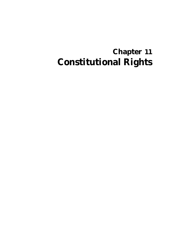# **Chapter 11 Constitutional Rights**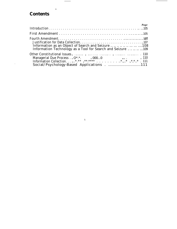## **Contents**

.

| <i>Page</i>                                                                                                                     |
|---------------------------------------------------------------------------------------------------------------------------------|
|                                                                                                                                 |
| Information as an Object of Search and Seizure          108<br>Information Technology as a Tool for Search and Seizure      109 |
| Other Constitutional Issues.<br>Social/Psychology-Based Applications111                                                         |

 $\bar{\lambda}$ 

 $\hspace{0.1mm}-\hspace{0.1mm}$ 

 $\overline{\phantom{a}}$ 

 $\ddot{\phantom{0}}$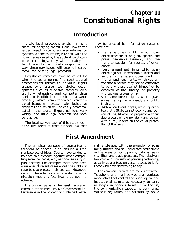## **Chapter 11 Constitutional Rights**

## **Introduction**

Little legal precedent exists, in many cases, for applying constitutional law to the issues raised by computer-based information systems. As the courts begin to deal with the novel issues raised by the application of computer technology, they will probably attempt to apply traditional concepts. In this way, these new issues will become incorporated into existing legal precedent.

Legislative remedies may be called for when the courts do not find constitutional protections for threats to individual rights created by unforeseen technological developments such as television cameras, electronic wiretapping, and computer data banks. It is difficult to predict in advance precisely which computer-raised constitutional issues will create major legislative problems and which will be easily accommodated *in* the courts. Expert opinions vary widely, and little legal research has been done as yet.

The legal survey task of this study identified five areas of constitutional law that may be affected by information systems. These are:

- first amendment rights, which guarantee freedom of religion, speech, the press, peaceable assembly, and the right to petition for redress of grievances;
- fourth amendment rights, which guarantee against unreasonable search and seizure by the Federal Government;
- fifth amendment rights, which guarantee that a person may not be compelled to be a witness against himself or be deprived of life, liberty, or property without due process of law;
- sixth amendment rights, which guarantee the right of a speedy and public trial; and
- 14th amendment rights, which guarantee that a State cannot deprive any person of life, liberty, or property without due process of law nor deny any person within its jurisdiction the equal protection of the laws.

## **First Amendment**

The principal purpose of guaranteeing freedom of speech is to ensure a free marketplace of ideas. Courts have tended to balance this freedom against other compelling social concerns, e.g., national security or public safety. For example, there have been a number of recent cases about the rights of reporters to protect their sources. However, certain characteristics of specific communication media affect how that goal is achieved.

The *printed page* is the least regulated communication medium. No Government interference in the content of published material is tolerated with the exception of some fairly limited and still contested restrictions in the areas of pornography, national security, libel, and trade practices. The relatively low cost and ubiquity of printing technology usually guarantees universal access to it for those who have something to say.

The *common carriers* are more restricted. Telephone and mail service are regulated monopolies that control the huge capital and institutional structures necessary to carry messages in various forms. Nevertheless, the communication capacity is very large. Without regulation, the potentiality would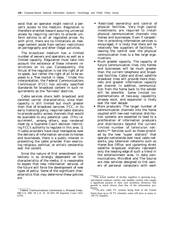exist that an operator might restrict a person's access to the medium. Regulation is therefore oriented toward assuring universal access by requiring carriers to provide uniform service to all at regulated prices. As with print, there are no limitations on message content aside from certain restrictions on pornography and other illegal activities.

The *broadcast* medium has a limited number of owners and operators as well as a limited capacity. Regulation must take into account the existence of these inherent restrictions on its use. Consequently, the thrust of the regulation is not the right of all to speak, but rather the right of all to be exposed to a "free market in ideas. " Under this interpretation, the Federal Communications Commission (FCC) has actively specified standards for broadcast content in such requirements as the "fairness" doctrine.

*Cable services* share both broadcast and common carrier characteristics, since their capacity is still limited but much greater than that of broadcast services. FCC, in its early licensing policy, required cable stations to provide public access channels that would be available to any potential user. (This requirement, among others, was rendered moot by a Supreme Court decision restricting FCC's authority to regulate in this area. )1 If cable providers have local monopolies over the delivery of information services to homes and businesses, there is a public interest in preventing the cable provider from exercising religious, political, or artistic censorship over the content.

Since the nature of first amendment protections is so strongly dependent on the characteristics of the media, it is reasonable to expect that new *information services* of the future will force the development of new types of policy. Some of the significant characteristics that may determine these policies are:

- *Restricted ownership and control of physical facilities.* Very high capital investments are required to install physical communication channels into homes and businesses. Even if competition in providing information services is encouraged, it is likely that there will be relatively few suppliers of facilities, \* leaving the control over the physical communication lines to a few large organizations.
- *Much greater capacity.* The capacity of future communication lines into homes and businesses will be much greater than the current telephone and broadcast facilities. Cable and direct satellite broadcast lines will provide more channels and greater information capacity per channel. In addition, communication from the home back to the sender will be possible. Some limited implementations of two-way capability already exist, and expansion is likely over the next decade.
- *More producers.* The larger number of communication channels into the home coupled with low-cost national distribution systems are expected to lead to a proliferation of information producers and distributors beyond the current limited number of television networks.\*\* Services such as those provided by the new "super stations" that operate nationwide over local cable networks, pay television networks such as Home Box Office, and upcoming direct satellite broadcast stations represent only the leading edge of such a trend in the entertainment area. In data communications, MicroNet and The Source are new services designed to link owners of personal computers with each

*<sup>&#</sup>x27;Federal ('communications Commission v. Midwest Video, 440* U.S. 689, 59 L.E. D. 2d 693, 99 Supreme Court 1435 (1979).

<sup>\*</sup>The actual number of facility suppliers is growing (e.g., specialized common carriers and satellite carriers who supply a significant portion of their own facilities). However, this growth is much slower than that of the information pro-

ducers.<br>
\*\*Th new cable TV systems being built in the United States have up to 50 TV channels; some will have as many as 100 TV channels.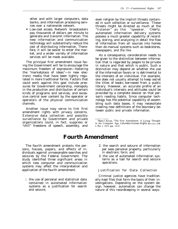other and with larger computers, data banks, and information processing services over a nationwide network.

● *Low-cost access.* Network broadcasters pay thousands of dollars per minute to generate and transmit information. The new information and communication technology will substantially reduce the cost of distributing information. Therefore, it will be easier to enter the market, and a wider variety of information services will be made available.

The principal first amendment issue facing the Government will be to encourage the maximum freedom of expression—fostering the "marketplace of ideas''—in new electronic media that have been tightly regulated in more traditional forms. Factors that could work against this goal include pressures for Government censorship, monopoly in the production and distribution of certain kinds of programs and services, and excessive control over content by the operator or operators of the physical communication channels.

Another issue may serve to link first amendment rights with privacy concerns. Extensive data collection and possibly surveillance by Government and private organizations could, in fact, suppress or "chill" freedoms of speech, assembly, and

even religion by the implicit threats contained in such collection or surveillance. These threats might be directed as much at the "listener" as the ''speaker. Clearly, automated information delivery systems possess a much greater capability of recording, storing, and analyzing in detail the flow of information from all sources into homes than do manual systems such as bookstores, newspapers, and the like.

As a consequence, consideration needs to be given to the distinction between information that is regarded by people to be private in nature and that which is public. Such a distinction may depend on whether the use of the information favors or is detrimental to the interests of an individual. For example, one does not usually attempt to keep secret the titles of books borrowed from a public library. However, an accurate profile of an individual's interests and attitudes could be provided by a complete dossier on that person's reading habits. Since computer technology has the potential capability of assembling such data bases, it may necessitate creating new definitions of the boundary between public and private information.

## **Fourth Amendment**

The fourth amendment protects the per- 2. the search and seizure of information sons, houses, papers, and effects of in-<br>per seas personal property, particularly dividuals against unreasonable searches and in electronic form; and seizures by the Federal Government. The 3. the use of automated information sysstudy identified three significant areas in terns as a tool for search and seizure which new computer and communication operations. systems may affect the interpretation and application of the fourth amendment. Justification for Data Collection

1 the use of personal and statistical data

- 
- 

Criminal justice agencies have traditionally kept files that form the basis of their incontained in automated information vestigations. Depending on the system desystems as a justification for search sign, however, automation can change the and seizure; nature of this recordkeeping in several ways:

<sup>—.—</sup> 'Sam J. Ervin, "The First Amendment: A I.iving Thought in the Computer Age, *Columbia Human Rights Review*, vol. 4, No. 1, 1972, pp. 13-47.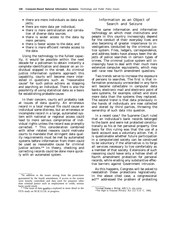- there are more individuals as data subjects;
- there are more data per individual;
- there is more centralization and correlation of diverse data sources;
- there is wider access to the data by more persons;
- there is faster access to the data; and
- there is more efficient remote access to the data.

Using the technology to the fullest capacity, it would be possible within the next decade for a policeman to obtain instantly a complete identification and dossier on an individual stopped in the street. As criminal justice information systems approach this capability, courts will become more interested in questions such as "reasonable cause" for such police actions as stopping and searching an individual. There is also the possibility of using statistical data as a basis for establishing probable cause.

In their concern, courts will probably look at issues of data quality. An erroneous record in a local manual file could cause an individual some distress, but an erroneous or incomplete record in a large, automated system with national or regional access could lead to more serious compromise of individual rights unless the record was promptly corrected. \* This consideration combined with other related reasons could motivate courts to mandate that stringent data quality requirements must be met by automated systems before information from them could be used as reasonable cause for criminal justice actions.\*\* In theory, checking and correcting records could be done more quickly with an automated system.

#### Information as an Object of Search and Seizure

The same information and information technology on which most institutions and people in this country increasingly depend for the conduct of their everyday lives are also becoming of greater importance to investigations conducted by the criminal justice system. Files, ledgers, correspondence, and address books have always been the objects of police searches in certain types of crimes. The criminal justice system will increasingly have to deal with their much more extensive computer equivalents, which may well raise new fourth amendment questions.

Two trends serve to increase the exposure of persons to searches. The first is that information previously unrecorded in any form will become collectable in computer data banks; electronic mail and electronic point of sale systems, for example, collect and store more data than the systems they replaced. The second trend is that data previously in the hands of individuals are now collected and stored by third parties, throwing the ownership of such data into question.

In a recent case,\* the Supreme Court ruled that an individual's bank records belonged to the bank and were not protected constitutionally as his or her personal property. One basis for this ruling was that the use of a bank account was a voluntary action. Yet, it is questionable whether future participation in a computerized society can be construed to be voluntary if the alternative is to forgo all services necessary to live comfortably as a member of that society. Extensions of such reasoning could leave only a hollow shell of fourth amendment protection for personal records, while eroding any substantive effective barriers against Government intrusion.

As this happens, Congress will be asked to reestablish these protections legislatively. In the above cited case, a congressional act\*\* addressed the problem of protecting

<sup>\*</sup>In addition to the issues arising from the protections guaranteed by the fourth amendment, if access to the system were loosely controlled, and data used for purposes other than criminal justice such as employment or credit, serious harm could result.<br>
\* \*The issue of data quality is explored in more detail in the

OTA study on NCIC/CCH, in progress.

*<sup>\*</sup>United States v. Miller, 425* U.S. 435 (1976). \*\*The Right to Financial Privacy Act (12 U.S. C. 340).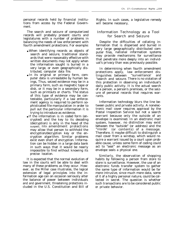personal records held by financial institutions from access by the Federal Government.

The search and seizure of computerized records will probably present courts and legislatures with a number of problems in balancing the needs of law enforcement with fourth amendment protections. For example:

- When identifying records as objects of search and seizure, traditional standards that were reasonably effective with written documents may not apply when the information sought is buried in a very large, or even geographically distributed, computer data file.
- In its original or primary form, computer data is unreadable by human beings, Thus, seized evidence may be in a primary form, such as magnetic tape or disk, or it may be in a secondary form, such as printouts or charts. The status of this type of evidence may be contestable, particularly if a law enforcement agency is required to perform sophisticated file manipulation in order to pull out the particular information it is trying to introduce as evidence.
- If the information is in coded form (encrypted) and the key to its decoding (decryption) is only in the head of the suspect, fifth amendment protections may allow that person to withhold the encryption/decryption key or the encryption algorithm. Similar problems exist even short of encryption. Information can be hidden in a large data bank in such ways that it would be nearly impossible to find without knowing its precise location.

It is expected that the normal evolution of law in the courts will be able to deal with many of these problems as they occur. However, as the Miller case illustrates, the logical extension of legal principles into the information age can on occasion seriously alter the balance of power between individuals and and government, threatening protections included in the U.S. Constitution and Bill of

Rights. In such cases, a legislative remedy will become necessary,

#### Information Technology as a Tool for Search and Seizure

Despite the difficulties of collating information that is dispersed and buried in very large geographically distributed computer files, national information systems may provide mechanisms for surveillance that penetrate more deeply into an individual's privacy than was previously possible.

In determining when fourth amendment protections apply, law enforcement distinguishes between ''surveillance' and ''search and seizure. There is no violation of this protection in observing an individual's daily public activity. It is the actual search of a person, a person's premises, or the seizure of personal records that requires warrants.

Information technology blurs the line between public and private activity. A nonelectronic mail cover requires approval by the Postal Inspection Service but not a search warrant because only the outside of an envelope is examined. In an electronic mail system, however, no distinction may exist between the "outside" (or address) and the "inside' (or contents) of a message. Therefore, it maybe difficult to distinguish a mail cover from a wiretap, which would require a warrant issued by a court upon probable cause, unless some form of coding could act to "seal" an electronic message as an envelope seals a physical one.

Similarly, the observation of shopping habits by following a person from store to store is surveillance. However, the use of an electronic funds transfer system to gather the same type of information would be far more intrusive, since much more data, some of it of a highly personal nature, could be collected in secret. The question is whether such transactions are to be considered public or private behavior.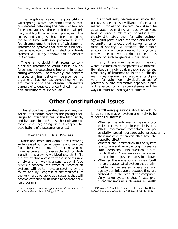The telephone created the possibility of wiretapping, which has stimulated numerous debates balancing the needs of law enforcement against those of individual privacy and fourth amendment protection. The courts and Congress have been struggling for some time with interpretations of the fourth amendment in terms of wiretapping. Information systems that provide such services as electronic mail and electronic funds transfer will likely provoke similar debates in Congress.

There is no doubt that access to computerized information could assist law enforcement in detecting crime and in prosecuting offenders. Consequently, the benefits afforded criminal justice will be a compelling argument. But no less compelling will be arguments citing the potential police-state dangers of widespread uncontrolled information surveillance of individuals.

This threat may become even more dangerous, since the surveillance of an automated information system can itself be automated, permitting an agency to keep tabs on large numbers of individuals efficiently. Ultimately, the information technology would permit both the tools and the opportunity for widespread surveillance of most of society. At present, the sizable amount of manpower needed to physically observe a person over a period of time acts as a check on such large-scale surveillance.

Finally, there may be a point beyond which a collection of comprehensive information about an individual, although comprised completely of information in the public domain, may assume the characteristics of private information. An individual's concept of private v. public information depends in part on the perception of its completeness and the ways it could be used against him/her.

### **Other Constitutional Issues**

This study has identified several ways in which information systems are posing challenges to interpretations of the fifth, sixth, and by extension to States, the 14th amendments. (See beginning of this chapter for descriptions of these amendments.)

#### Managerial Due Process

More and more individuals are receiving an increased number of benefits and services from the Government. Information systems have become an indispensable tool for dealing with this growing workload (see ch. 8). To the extent that access to these services in a timely and fair way is a constitutional "due process" concern, the effect of information systems will be to increase scrutiny by the courts and by Congress of the "fairness" of the very large bureaucratic systems that will become established in order to operate service programs.<sup>3</sup>

The following questions about an administrative information system are likely to be of particular interest.

- Whether the information system provides for making timely decisions. While information technology can potentially speed bureaucratic processes, , their implementation can often have the opposite effect.<sup>4</sup>
- Whether the information in the system is accurate and timely enough to ensure "fair" decisions. This question is similar to that of "reasonable cause' raised in the criminal justice discussion above.
- Whether there are subtle biases "built in" to the automated system that are invisible to the system operators and agency administrators because they are embedded in the code of the computer. Very large systems that "mass produce" decisions in such areas as health

<sup>&#</sup>x27;J. I.. Mashaw, "The Management Side of Due Process," *('ornell I.a(i Rv[ie/i,* ,June 1974, pp. 772-824.

<sup>&#</sup>x27;"DC Youth CETA Jobs Program Still Plagued by Delays in Pay, "Washington Post, July 27, 1980, sec. 8, p. 1, co]. 1.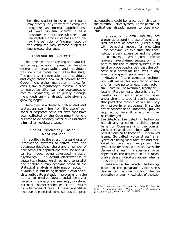benefits, student loans, or tax returns may react quickly to what the computer recognizes as "normal" applications, but reject "unusual" claims. If, as a consequence, clients are subjected to an unacceptable amount of hassle and delay, the definition of "normal" used by the computer may become subject to due process challenge.

#### Information Collection

The increased recordkeeping and data collection requirements imposed by the Government on organizations and individuals was one of the trends identified in this study. The quantity of information that individuals and organizations now must provide to the Government–either mandatorily (e.g., for census, tax, or regulatory purposes), in order to receive benefits (e.g., loan guarantees or medical payments), or to justify management decisions—is already extensive and growing larger.

There may be a threat to fifth amendment protections stemming from the use of personal or corporate computer data that have been collected by the Government for one purpose as evidentiary material in unrelated criminal or regulatory cases.

#### Social/Psychology-BaSed Application s

In addition to the straightforward uses of information systems to collect data and automate decisions, there are a number of new computer applications that use analytical techniques being developed in social psychology. The actual effectiveness of these techniques, which purport to predict and analyze human behavior based on the statistical analysis of information about individuals, is still being debated. Social scientists anticipate a steady improvement in the ability to predict future social behavior based on the analysis of seemingly unrelated personal characteristics or of the results from batteries of tests. If these capabilities improve as expected, some serious due process questions could be raised by their use in the criminal justice system. Three particular applications already appear to pose problems.

1. *Jury selection:* A small industry has grown up around the use of computerized dossiers of potential jurors along with computer models for predicting juror behavior. At this time, the technology is very expensive and its value is controversial. While some defense lawyers have claimed success owing in part to the use of these systems, it is hard to prove conclusively that the outcome of a particular trial was in any way due to specific juror selection.

However, future computer technology will make this application cheap, and far more personal data about potential jurors will be available, legally or illegally. Furthermore, there is a sufficiently sound social scientific basis underlying this type of use to suggest that predictive techniques will be likely to improve in effectiveness. If so, the entire concept of an "impartial" jury as required by the sixth amendment may be challenged. $5$ 

2. *Lie detectors:* Lie detecting technology has already raised many difficult problems for Congress and the courts. Computer-based technology will add a new dimension to these still unresolved issues. So called "voice stress" analyzers are being manufactured and marketed for relatively low prices. This type of lie detector, which analyzes the degree of stress in a speaker's voice, depends on the assumption that measurable stress indicators appear when a lie is being told.

Unlike older lie detector technology based on the polygraph, voice stress devices can be used without the cooperation or even knowledge of the sub-

<sup>&#</sup>x27;John I,. Wanamaker, "Computer and Scientific Jury Selection: A Calculated Risk, " University of Detroit Journal of<br>UrbanLaw.vol.55.winter1978, **pp.** 345-370.